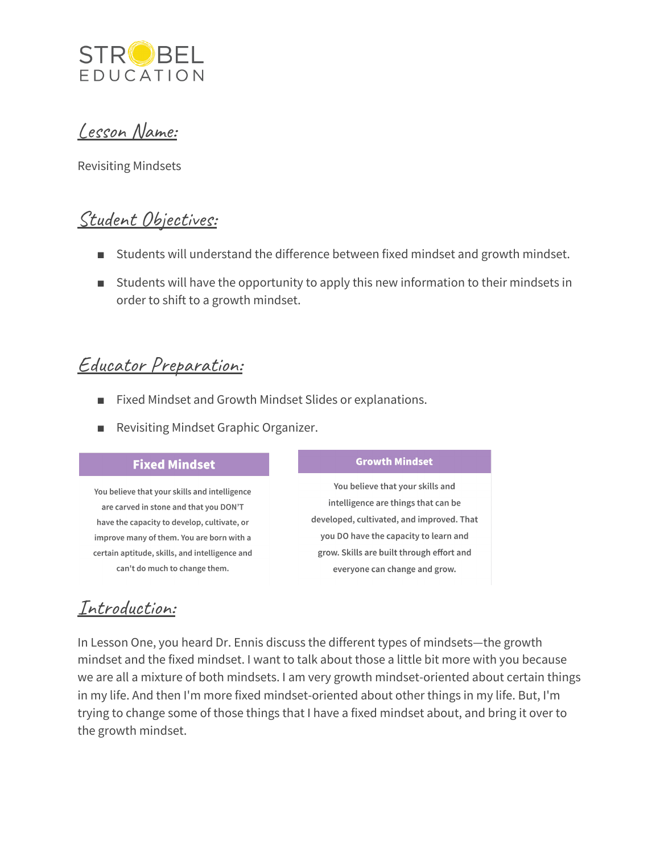

Lesson Name:

Revisiting Mindsets

### Student Objectives:

- Students will understand the difference between fixed mindset and growth mindset.
- Students will have the opportunity to apply this new information to their mindsets in order to shift to a growth mindset.

### Educator Preparation:

- Fixed Mindset and Growth Mindset Slides or explanations.
- Revisiting Mindset Graphic Organizer.

#### **Fixed Mindset**

You believe that your skills and intelligence are carved in stone and that you DON'T have the capacity to develop, cultivate, or improve many of them. You are born with a certain aptitude, skills, and intelligence and can't do much to change them.

#### **Growth Mindset**

You believe that your skills and intelligence are things that can be developed, cultivated, and improved. That you DO have the capacity to learn and grow. Skills are built through effort and everyone can change and grow.

### Introduction:

In Lesson One, you heard Dr. Ennis discuss the different types of mindsets—the growth mindset and the fixed mindset. I want to talk about those a little bit more with you because we are all a mixture of both mindsets. I am very growth mindset-oriented about certain things in my life. And then I'm more fixed mindset-oriented about other things in my life. But, I'm trying to change some of those things that I have a fixed mindset about, and bring it over to the growth mindset.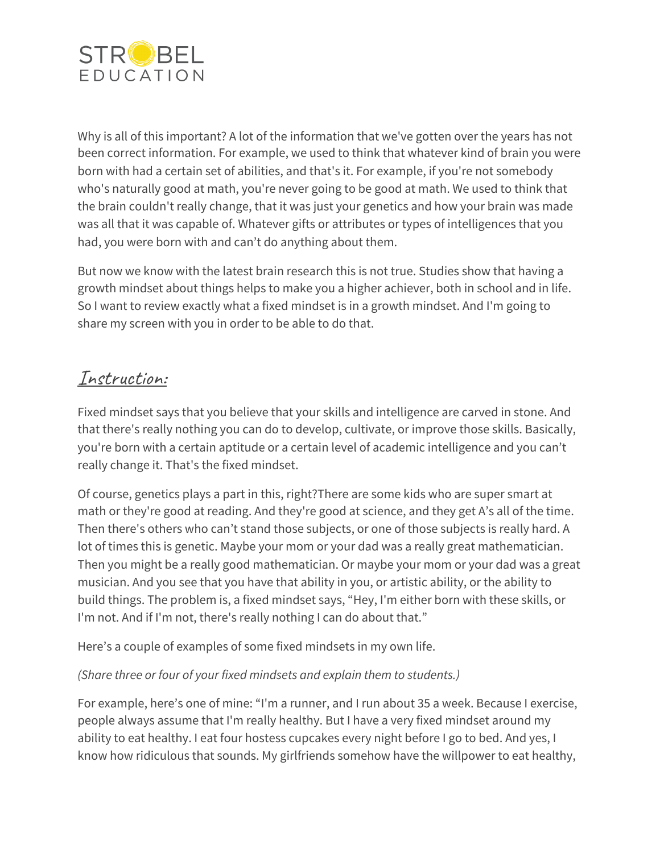

Why is all of this important? A lot of the information that we've gotten over the years has not been correct information. For example, we used to think that whatever kind of brain you were born with had a certain set of abilities, and that's it. For example, if you're not somebody who's naturally good at math, you're never going to be good at math. We used to think that the brain couldn't really change, that it was just your genetics and how your brain was made was all that it was capable of. Whatever gifts or attributes or types of intelligences that you had, you were born with and can't do anything about them.

But now we know with the latest brain research this is not true. Studies show that having a growth mindset about things helps to make you a higher achiever, both in school and in life. So I want to review exactly what a fixed mindset is in a growth mindset. And I'm going to share my screen with you in order to be able to do that.

# Instruction:

Fixed mindset says that you believe that your skills and intelligence are carved in stone. And that there's really nothing you can do to develop, cultivate, or improve those skills. Basically, you're born with a certain aptitude or a certain level of academic intelligence and you can't really change it. That's the fixed mindset.

Of course, genetics plays a part in this, right?There are some kids who are super smart at math or they're good at reading. And they're good at science, and they get A's all of the time. Then there's others who can't stand those subjects, or one of those subjects is really hard. A lot of times this is genetic. Maybe your mom or your dad was a really great mathematician. Then you might be a really good mathematician. Or maybe your mom or your dad was a great musician. And you see that you have that ability in you, or artistic ability, or the ability to build things. The problem is, a fixed mindset says, "Hey, I'm either born with these skills, or I'm not. And if I'm not, there's really nothing I can do about that."

Here's a couple of examples of some fixed mindsets in my own life.

### *(Share three or four of your fixed mindsets and explain them to students.)*

For example, here's one of mine: "I'm a runner, and I run about 35 a week. Because I exercise, people always assume that I'm really healthy. But I have a very fixed mindset around my ability to eat healthy. I eat four hostess cupcakes every night before I go to bed. And yes, I know how ridiculous that sounds. My girlfriends somehow have the willpower to eat healthy,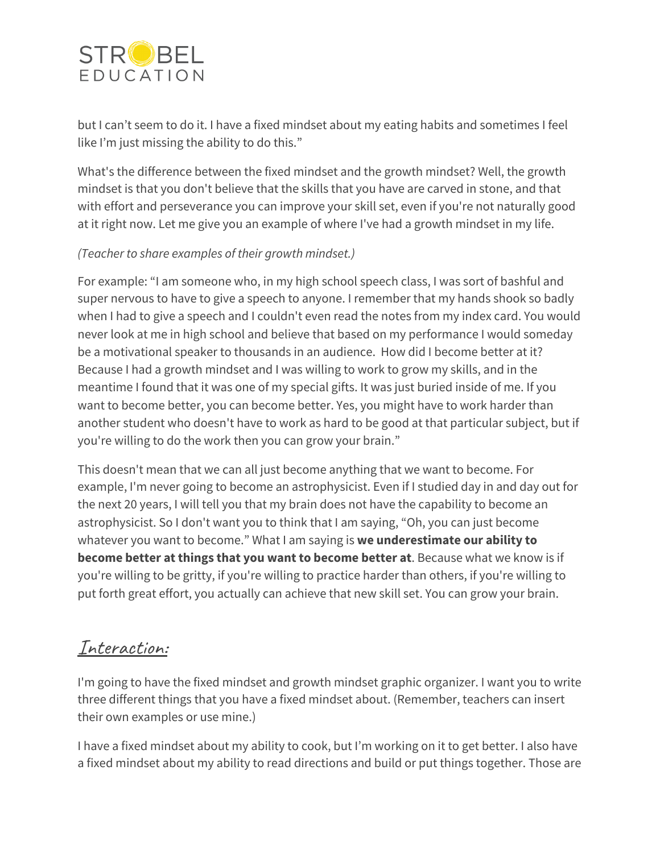

but I can't seem to do it. I have a fixed mindset about my eating habits and sometimes I feel like I'm just missing the ability to do this."

What's the difference between the fixed mindset and the growth mindset? Well, the growth mindset is that you don't believe that the skills that you have are carved in stone, and that with effort and perseverance you can improve your skill set, even if you're not naturally good at it right now. Let me give you an example of where I've had a growth mindset in my life.

### *(Teacher to share examples of their growth mindset.)*

For example: "I am someone who, in my high school speech class, I was sort of bashful and super nervous to have to give a speech to anyone. I remember that my hands shook so badly when I had to give a speech and I couldn't even read the notes from my index card. You would never look at me in high school and believe that based on my performance I would someday be a motivational speaker to thousands in an audience. How did I become better at it? Because I had a growth mindset and I was willing to work to grow my skills, and in the meantime I found that it was one of my special gifts. It was just buried inside of me. If you want to become better, you can become better. Yes, you might have to work harder than another student who doesn't have to work as hard to be good at that particular subject, but if you're willing to do the work then you can grow your brain."

This doesn't mean that we can all just become anything that we want to become. For example, I'm never going to become an astrophysicist. Even if I studied day in and day out for the next 20 years, I will tell you that my brain does not have the capability to become an astrophysicist. So I don't want you to think that I am saying, "Oh, you can just become whatever you want to become." What I am saying is **we underestimate our ability to become better at things that you want to become better at**. Because what we know is if you're willing to be gritty, if you're willing to practice harder than others, if you're willing to put forth great effort, you actually can achieve that new skill set. You can grow your brain.

### Interaction:

I'm going to have the fixed mindset and growth mindset graphic organizer. I want you to write three different things that you have a fixed mindset about. (Remember, teachers can insert their own examples or use mine.)

I have a fixed mindset about my ability to cook, but I'm working on it to get better. I also have a fixed mindset about my ability to read directions and build or put things together. Those are